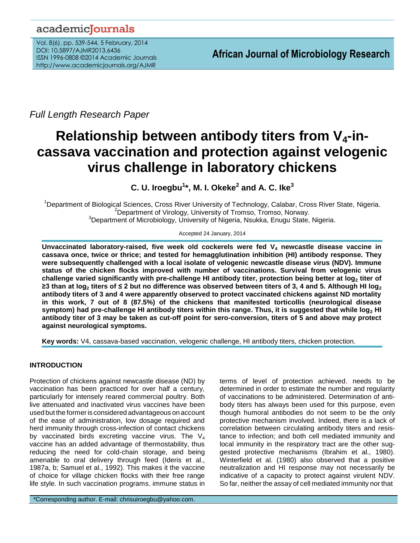## academicJournals

Vol. 8(6), pp. 539-544, 5 February, 2014 DOI: 10.5897/AJMR2013.6436 ISSN 1996-0808 ©2014 Academic Journals http://www.academicjournals.org/AJMR

*Full Length Research Paper*

# **Relationship between antibody titers from V4-incassava vaccination and protection against velogenic virus challenge in laboratory chickens**

**C. U. Iroegbu<sup>1</sup> \*, M. I. Okeke<sup>2</sup> and A. C. Ike<sup>3</sup>**

<sup>1</sup>Department of Biological Sciences, Cross River University of Technology, Calabar, Cross River State, Nigeria. <sup>2</sup>Department of Virology, University of Tromso, Tromso, Norway. <sup>3</sup>Department of Microbiology, University of Nigeria, Nsukka, Enugu State, Nigeria.

Accepted 24 January, 2014

**Unvaccinated laboratory-raised, five week old cockerels were fed V<sup>4</sup> newcastle disease vaccine in cassava once, twice or thrice; and tested for hemagglutination inhibition (HI) antibody response. They were subsequently challenged with a local isolate of velogenic newcastle disease virus (NDV). Immune status of the chicken flocks improved with number of vaccinations. Survival from velogenic virus challenge varied significantly with pre-challenge HI antibody titer, protection being better at log<sup>2</sup> titer of ≥3 than at log<sup>2</sup> titers of ≤ 2 but no difference was observed between titers of 3, 4 and 5. Although HI log<sup>2</sup> antibody titers of 3 and 4 were apparently observed to protect vaccinated chickens against ND mortality in this work, 7 out of 8 (87.5%) of the chickens that manifested torticollis (neurological disease symptom) had pre-challenge HI antibody titers within this range. Thus, it is suggested that while log<sup>2</sup> HI antibody titer of 3 may be taken as cut-off point for sero-conversion, titers of 5 and above may protect against neurological symptoms.**

**Key words:** V4, cassava-based vaccination, velogenic challenge, HI antibody titers, chicken protection.

### **INTRODUCTION**

Protection of chickens against newcastle disease (ND) by vaccination has been practiced for over half a century, particularly for intensely reared commercial poultry. Both live attenuated and inactivated virus vaccines have been used but the formeris considered advantageous on account of the ease of administration, low dosage required and herd immunity through cross-infection of contact chickens by vaccinated birds excreting vaccine virus. The  $V_4$ vaccine has an added advantage of thermostability, thus reducing the need for cold-chain storage, and being amenable to oral delivery through feed (Ideris et al., 1987a, b; Samuel et al., 1992). This makes it the vaccine of choice for village chicken flocks with their free range life style. In such vaccination programs, immune status in

\*Corresponding author. E-mail: chrisuiroegbu@yahoo.com.

terms of level of protection achieved, needs to be determined in order to estimate the number and regularity of vaccinations to be administered. Determination of antibody titers has always been used for this purpose, even though humoral antibodies do not seem to be the only protective mechanism involved. Indeed, there is a lack of correlation between circulating antibody titers and resistance to infection; and both cell mediated immunity and local immunity in the respiratory tract are the other suggested protective mechanisms (Ibrahim et al., 1980). Winterfield et al. (1980) also observed that a positive neutralization and HI response may not necessarily be indicative of a capacity to protect against virulent NDV. So far, neither the assay of cell mediated immunity nor that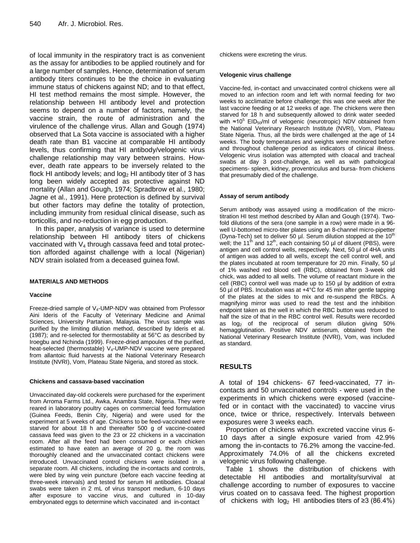of local immunity in the respiratory tract is as convenient as the assay for antibodies to be applied routinely and for a large number of samples. Hence, determination of serum antibody titers continues to be the choice in evaluating immune status of chickens against ND; and to that effect, HI test method remains the most simple. However, the relationship between HI antibody level and protection seems to depend on a number of factors, namely, the vaccine strain, the route of administration and the virulence of the challenge virus. Allan and Gough (1974) observed that La Sota vaccine is associated with a higher death rate than B1 vaccine at comparable HI antibody levels, thus confirming that HI antibody/velogenic virus challenge relationship may vary between strains. However, death rate appears to be inversely related to the flock HI antibody levels; and  $log<sub>2</sub>$  HI antibody titer of 3 has long been widely accepted as protective against ND mortality (Allan and Gough, 1974; Spradbrow et al., 1980; Jagne et al., 1991). Here protection is defined by survival but other factors may define the totality of protection, including immunity from residual clinical disease, such as torticollis, and no-reduction in egg production.

In this paper, analysis of variance is used to determine relationship between HI antibody titers of chickens vaccinated with  $V_4$  through cassava feed and total protection afforded against challenge with a local (Nigerian) NDV strain isolated from a deceased guinea fowl.

#### **MATERIALS AND METHODS**

#### **Vaccine**

Freeze-dried sample of V4-UMP-NDV was obtained from Professor Aini Ideris of the Faculty of Veterinary Medicine and Animal Sciences, University Partanian, Malaysia. The virus sample was purified by the limiting dilution method, described by Ideris et al. (1987); and re-selected for thermostability at 56°C as described by Iroegbu and Nchinda (1999). Freeze-dried ampoules of the purified, heat-selected (thermostable)  $V_4$ -UMP-NDV vaccine were prepared from allantoic fluid harvests at the National Veterinary Research Institute (NVRI), Vom, Plateau State Nigeria, and stored as stock.

#### **Chickens and cassava-based vaccination**

Unvaccinated day-old cockerels were purchased for the experiment from Arroma Farms Ltd., Awka, Anambra State, Nigeria. They were reared in laboratory poultry cages on commercial feed formulation (Guinea Feeds, Benin City, Nigeria) and were used for the experiment at 5 weeks of age. Chickens to be feed-vaccinated were starved for about 18 h and thereafter 500 g of vaccine-coated cassava feed was given to the 23 or 22 chickens in a vaccination room. After all the feed had been consumed or each chicken estimated to have eaten an average of 20 g, the room was thoroughly cleaned and the unvaccinated contact chickens were introduced. Unvaccinated control chickens were isolated in a separate room. All chickens, including the in-contacts and controls, were bled by wing vein puncture (before each vaccine feeding at three-week intervals) and tested for serum HI antibodies. Cloacal swabs were taken in 2 mL of virus transport medium, 6-10 days after exposure to vaccine virus, and cultured in 10-day embryonated eggs to determine which vaccinated and in-contact

chickens were excreting the virus.

#### **Velogenic virus challenge**

Vaccine-fed, in-contact and unvaccinated control chickens were all moved to an infection room and left with normal feeding for two weeks to acclimatize before challenge; this was one week after the last vaccine feeding or at 12 weeks of age. The chickens were then starved for 18 h and subsequently allowed to drink water seeded with  $≈10<sup>5</sup> EID<sub>50</sub>/ml of velogenic (neurotropic) NDV obtained from$ the National Veterinary Research Institute (NVRI), Vom, Plateau State Nigeria. Thus, all the birds were challenged at the age of 14 weeks. The body temperatures and weights were monitored before and throughout challenge period as indicators of clinical illness. Velogenic virus isolation was attempted with cloacal and tracheal swabs at day 3 post-challenge, as well as with pathological specimens- spleen, kidney, proventriculus and bursa- from chickens that presumably died of the challenge.

#### **Assay of serum antibody**

Serum antibody was assayed using a modification of the microtitration HI test method described by Allan and Gough (1974). Twofold dilutions of the sera (one sample in a row) were made in a 96 well U-bottomed micro-titer plates using an 8-channel micro-pipetter (Dyna-Tech) set to deliver 50  $\mu$ l. Serum dilution stopped at the 10<sup>th</sup> well; the 11<sup>th</sup> and 12<sup>th</sup>, each containing 50  $\mu$ l of diluent (PBS), were antigen and cell control wells, respectively. Next, 50 µl of 4HA units of antigen was added to all wells, except the cell control well, and the plates incubated at room temperature for 20 min. Finally, 50 µl of 1% washed red blood cell (RBC), obtained from 3-week old chick, was added to all wells. The volume of reactant mixture in the cell (RBC) control well was made up to 150 µl by addition of extra 50 µl of PBS. Incubation was at +4°C for 45 min after gentle tapping of the plates at the sides to mix and re-suspend the RBCs. A magnifying mirror was used to read the test and the inhibition endpoint taken as the well in which the RBC button was reduced to half the size of that in the RBC control well. Results were recorded as  $log<sub>2</sub>$  of the reciprocal of serum dilution giving 50% hemagglutination. Positive NDV antiserum, obtained from the National Veterinary Research Institute (NVRI), Vom, was included as standard.

#### **RESULTS**

A total of 194 chickens- 67 feed-vaccinated, 77 incontacts and 50 unvaccinated controls - were used in the experiments in which chickens were exposed (vaccinefed or in contact with the vaccinated) to vaccine virus once, twice or thrice, respectively. Intervals between exposures were 3 weeks each.

Proportion of chickens which excreted vaccine virus 6- 10 days after a single exposure varied from 42.9% among the in-contacts to 76.2% among the vaccine-fed. Approximately 74.0% of all the chickens excreted velogenic virus following challenge.

Table 1 shows the distribution of chickens with detectable HI antibodies and mortality/survival at challenge according to number of exposures to vaccine virus coated on to cassava feed. The highest proportion of chickens with  $log_2$  HI antibodies titers of ≥3 (86.4%)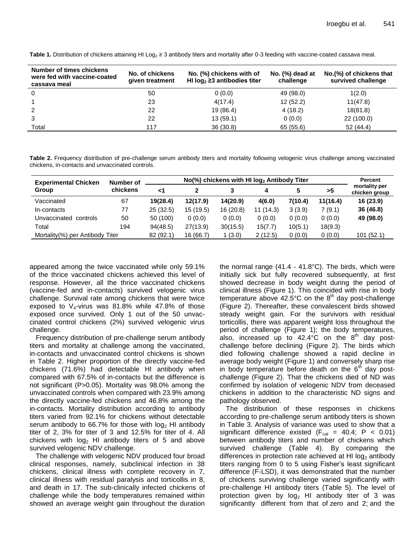| Number of times chickens<br>were fed with vaccine-coated<br>cassava meal | No. of chickens<br>given treatment | No. (%) chickens with of<br>HI $log_2 \geq 3$ antibodies titer | No. $(\%)$ dead at<br>challenge | No.(%) of chickens that<br>survived challenge |  |
|--------------------------------------------------------------------------|------------------------------------|----------------------------------------------------------------|---------------------------------|-----------------------------------------------|--|
| $\Omega$                                                                 | 50                                 | 0(0.0)                                                         | 49 (98.0)                       | 1(2.0)                                        |  |
|                                                                          | 23                                 | 4(17.4)                                                        | 12(52.2)                        | 11(47.8)                                      |  |
| 2                                                                        | 22                                 | 19 (86.4)                                                      | 4(18.2)                         | 18(81.8)                                      |  |
| 3                                                                        | 22                                 | 13(59.1)                                                       | 0(0.0)                          | 22 (100.0)                                    |  |
| Total                                                                    | 117                                | 36(30.8)                                                       | 65 (55.6)                       | 52(44.4)                                      |  |

Table 1. Distribution of chickens attaining HI Log<sub>2</sub> ≥ 3 antibody titers and mortality after 0-3 feeding with vaccine-coated cassava meal.

**Table 2.** Frequency distribution of pre-challenge serum antibody titers and mortality following velogenic virus challenge among vaccinated chickens, in-contacts and unvaccinated controls.

| <b>Experimental Chicken</b><br>Group | Number of<br>chickens |           | Percent   |          |          |         |          |                                |
|--------------------------------------|-----------------------|-----------|-----------|----------|----------|---------|----------|--------------------------------|
|                                      |                       | -1        |           |          | 4        |         | >5       | mortality per<br>chicken group |
| Vaccinated                           | 67                    | 19(28.4)  | 12(17.9)  | 14(20.9) | 4(6.0)   | 7(10.4) | 11(16.4) | 16 (23.9)                      |
| In-contacts                          | 77                    | 25(32.5)  | 15 (19.5) | 16(20.8) | 11(14.3) | 3(3.9)  | 7(9.1)   | 36 (46.8)                      |
| Unvaccinated<br>controls             | 50                    | 50 (100)  | 0(0.0)    | 0(0.0)   | 0(0.0)   | 0(0.0)  | 0(0.0)   | 49 (98.0)                      |
| Total                                | 194                   | 94(48.5)  | 27(13.9)  | 30(15.5) | 15(7.7)  | 10(5.1) | 18(9.3)  |                                |
| Mortality(%) per Antibody Titer      |                       | 82 (92.1) | 16 (66.7) | 1(3.0)   | 2(12.5)  | 0(0.0)  | 0(0.0)   | 101(52.1)                      |

appeared among the twice vaccinated while only 59.1% of the thrice vaccinated chickens achieved this level of response. However, all the thrice vaccinated chickens (vaccine-fed and in-contacts) survived velogenic virus challenge. Survival rate among chickens that were twice exposed to  $V_4$ -virus was 81.8% while 47.8% of those exposed once survived. Only 1 out of the 50 unvaccinated control chickens (2%) survived velogenic virus challenge.

Frequency distribution of pre-challenge serum antibody titers and mortality at challenge among the vaccinated, in-contacts and unvaccinated control chickens is shown in Table 2. Higher proportion of the directly vaccine-fed chickens (71.6%) had detectable HI antibody when compared with 67.5% of in-contacts but the difference is not significant (P>0.05). Mortality was 98.0% among the unvaccinated controls when compared with 23.9% among the directly vaccine-fed chickens and 46.8% among the in-contacts. Mortality distribution according to antibody titers varied from 92.1% for chickens without detectable serum antibody to 66.7% for those with  $log_2 H1$  antibody titer of 2, 3% for titer of 3 and 12.5% for titer of 4. All chickens with  $log<sub>2</sub>$  HI antibody titers of 5 and above survived velogenic NDV challenge.

The challenge with velogenic NDV produced four broad clinical responses, namely, subclinical infection in 38 chickens, clinical illness with complete recovery in 7, clinical illness with residual paralysis and torticollis in 8, and death in 17. The sub-clinically infected chickens of challenge while the body temperatures remained within showed an average weight gain throughout the duration

the normal range (41.4 - 41.8°C). The birds, which were initially sick but fully recovered subsequently, at first showed decrease in body weight during the period of clinical illness (Figure 1). This coincided with rise in body temperature above 42.5°C on the  $8<sup>th</sup>$  day post-challenge (Figure 2). Thereafter, these convalescent birds showed steady weight gain. For the survivors with residual torticollis, there was apparent weight loss throughout the period of challenge (Figure 1); the body temperatures, also, increased up to  $42.4^{\circ}$ C on the  $8^{\text{th}}$  day postchallenge before declining (Figure 2). The birds which died following challenge showed a rapid decline in average body weight (Figure 1) and conversely sharp rise in body temperature before death on the  $6<sup>th</sup>$  day postchallenge (Figure 2). That the chickens died of ND was confirmed by isolation of velogenic NDV from deceased chickens in addition to the characteristic ND signs and pathology observed.

The distribution of these responses in chickens according to pre-challenge serum antibody titers is shown in Table 3. Analysis of variance was used to show that a significant difference existed  $(F_{cal} = 40.4; P < 0.01)$ between antibody titers and number of chickens which survived challenge (Table 4). By comparing the differences in protection rate achieved at HI  $log<sub>2</sub>$  antibody titers ranging from 0 to 5 using Fisher's least significant difference (F-LSD), it was demonstrated that the number of chickens surviving challenge varied significantly with pre-challenge HI antibody titers (Table 5). The level of protection given by  $log_2$  HI antibody titer of 3 was significantly different from that of zero and 2; and the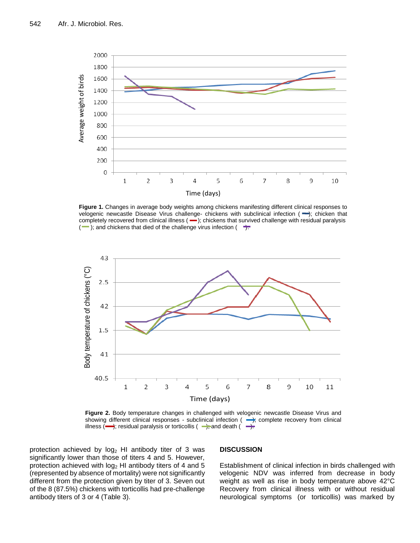

**Figure 1.** Changes in average body weights among chickens manifesting different clinical responses to velogenic newcastle Disease Virus challenge- chickens with subclinical infection (-); chicken that completely recovered from clinical illness  $(-)$ ; chickens that survived challenge with residual paralysis  $(-)$ ; and chickens that died of the challenge virus infection  $(+)$ .



**Figure 2.** Body temperature changes in challenged with velogenic newcastle Disease Virus and showing different clinical responses - subclinical infection  $($   $\rightarrow)$  complete recovery from clinical illness  $(\longrightarrow)$ ; residual paralysis or torticollis  $(\longrightarrow)$ ; and death  $(\longrightarrow)$ .

protection achieved by  $log<sub>2</sub>$  HI antibody titer of 3 was significantly lower than those of titers 4 and 5. However, protection achieved with  $log<sub>2</sub>$  HI antibody titers of 4 and 5 (represented by absence of mortality) were not significantly different from the protection given by titer of 3. Seven out of the 8 (87.5%) chickens with torticollis had pre-challenge antibody titers of 3 or 4 (Table 3).

#### **DISCUSSION**

Establishment of clinical infection in birds challenged with velogenic NDV was inferred from decrease in body weight as well as rise in body temperature above 42°C Recovery from clinical illness with or without residual neurological symptoms (or torticollis) was marked by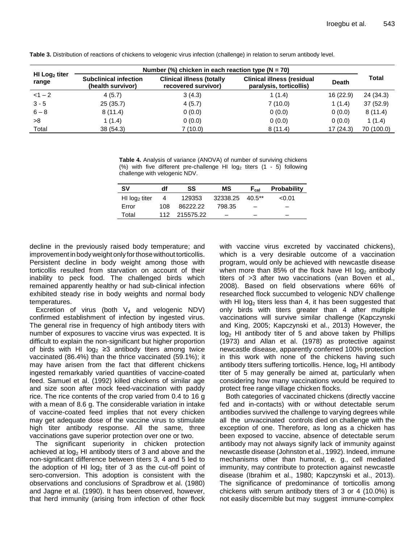| $H1$ Log <sub>2</sub> titer<br>range | Number (%) chicken in each reaction type ( $N = 70$ ) |                                                         |                                                              |              |            |  |  |  |
|--------------------------------------|-------------------------------------------------------|---------------------------------------------------------|--------------------------------------------------------------|--------------|------------|--|--|--|
|                                      | <b>Subclinical infection</b><br>(health survivor)     | <b>Clinical illness (totally</b><br>recovered survivor) | <b>Clinical illness (residual</b><br>paralysis, torticollis) | <b>Death</b> | Total      |  |  |  |
| $<1-2$                               | 4(5.7)                                                | 3(4.3)                                                  | 1(1.4)                                                       | 16(22.9)     | 24 (34.3)  |  |  |  |
| $3 - 5$                              | 25(35.7)                                              | 4(5.7)                                                  | 7(10.0)                                                      | 1(1.4)       | 37 (52.9)  |  |  |  |
| $6 - 8$                              | 8(11.4)                                               | 0(0.0)                                                  | 0(0.0)                                                       | 0(0.0)       | 8(11.4)    |  |  |  |
| >8                                   | 1 (1.4)                                               | 0(0.0)                                                  | 0(0.0)                                                       | 0(0.0)       | 1(1.4)     |  |  |  |
| Total                                | 38(54.3)                                              | 7(10.0)                                                 | 8(11.4)                                                      | 17(24.3)     | 70 (100.0) |  |  |  |

**Table 3.** Distribution of reactions of chickens to velogenic virus infection (challenge) in relation to serum antibody level.

**Table 4.** Analysis of variance (ANOVA) of number of surviving chickens (%) with five different pre-challenge HI  $log_2$  titers (1 - 5) following challenge with velogenic NDV.

| <b>SV</b>                   | df  | SS            | МS              | $F_{cal}$ | <b>Probability</b> |  |
|-----------------------------|-----|---------------|-----------------|-----------|--------------------|--|
| $H1$ log <sub>2</sub> titer |     | 129353        | 32338.25 40.5** |           | < 0.01             |  |
| Error                       | 108 | 86222.22      | 798.35          |           |                    |  |
| Total                       |     | 112 215575.22 |                 |           |                    |  |

decline in the previously raised body temperature; and improvement in body weight only for those without torticollis. Persistent decline in body weight among those with torticollis resulted from starvation on account of their inability to peck food. The challenged birds which remained apparently healthy or had sub-clinical infection exhibited steady rise in body weights and normal body temperatures.

Excretion of virus (both  $V_4$  and velogenic NDV) confirmed establishment of infection by ingested virus. The general rise in frequency of high antibody titers with number of exposures to vaccine virus was expected. It is difficult to explain the non-significant but higher proportion of birds with HI log<sub>2</sub> ≥3 antibody titers among twice vaccinated (86.4%) than the thrice vaccinated (59.1%); it may have arisen from the fact that different chickens ingested remarkably varied quantities of vaccine-coated feed. Samuel et al. (1992) killed chickens of similar age and size soon after mock feed-vaccination with paddy rice. The rice contents of the crop varied from 0.4 to 16 g with a mean of 8.6 g. The considerable variation in intake of vaccine-coated feed implies that not every chicken may get adequate dose of the vaccine virus to stimulate high titer antibody response. All the same, three vaccinations gave superior protection over one or two.

The significant superiority in chicken protection achieved at  $log<sub>2</sub>$  HI antibody titers of 3 and above and the non-significant difference between titers 3, 4 and 5 led to the adoption of HI  $log<sub>2</sub>$  titer of 3 as the cut-off point of sero-conversion. This adoption is consistent with the observations and conclusions of Spradbrow et al. (1980) and Jagne et al. (1990). It has been observed, however, that herd immunity (arising from infection of other flock with vaccine virus excreted by vaccinated chickens), which is a very desirable outcome of a vaccination program, would only be achieved with newcastle disease when more than 85% of the flock have HI  $log<sub>2</sub>$  antibody titers of >3 after two vaccinations (van Boven et al., 2008). Based on field observations where 66% of researched flock succumbed to velogenic NDV challenge with HI  $log<sub>2</sub>$  titers less than 4, it has been suggested that only birds with titers greater than 4 after multiple vaccinations will survive similar challenge (Kapczynski and King, 2005; Kapczynski et al., 2013) However, the  $log<sub>2</sub>$  HI antibody titer of 5 and above taken by Phillips (1973) and Allan et al. (1978) as protective against newcastle disease, apparently conferred 100% protection in this work with none of the chickens having such antibody titers suffering torticollis. Hence,  $log<sub>2</sub>$  HI antibody titer of 5 may generally be aimed at, particularly when considering how many vaccinations would be required to protect free range village chicken flocks.

Both categories of vaccinated chickens (directly vaccine fed and in-contacts) with or without detectable serum antibodies survived the challenge to varying degrees while all the unvaccinated controls died on challenge with the exception of one. Therefore, as long as a chicken has been exposed to vaccine, absence of detectable serum antibody may not always signify lack of immunity against newcastle disease (Johnston et al., 1992). Indeed, immune mechanisms other than humoral, e. g., cell mediated immunity, may contribute to protection against newcastle disease (Ibrahim et al., 1980; Kapczynski et al., 2013). The significance of predominance of torticollis among chickens with serum antibody titers of 3 or 4 (10.0%) is not easily discernible but may suggest immune-complex